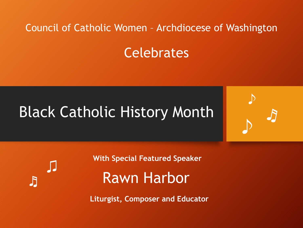#### Council of Catholic Women – Archdiocese of Washington

**Celebrates** 

# Black Catholic History Month



♬ ♫ **With Special Featured Speaker**

# Rawn Harbor

**Liturgist, Composer and Educator**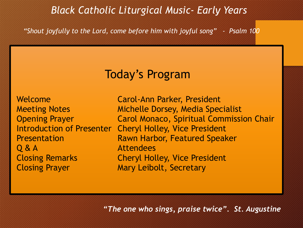### *Black Catholic Liturgical Music- Early Years*

*"Shout joyfully to the Lord, come before him with joyful song" - Psalm 100*

### Today's Program

Welcome **Carol-Ann Parker, President** Q & A **Attendees Closing Prayer Mary Leibolt, Secretary** 

Meeting Notes **Michelle Dorsey, Media Specialist**  Opening Prayer Carol Monaco, Spiritual Commission Chair Introduction of Presenter Cheryl Holley, Vice President Presentation **Rawn Harbor, Featured Speaker** Closing Remarks Cheryl Holley, Vice President

*"The one who sings, praise twice". St. Augustine*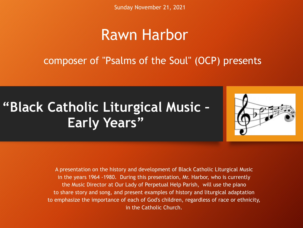Sunday November 21, 2021

## Rawn Harbor

composer of "Psalms of the Soul" (OCP) presents

# **"Black Catholic Liturgical Music – Early Years"**



A presentation on the history and development of Black Catholic Liturgical Music in the years 1964 -1980. During this presentation, Mr. Harbor, who is currently the Music Director at Our Lady of Perpetual Help Parish, will use the piano to share story and song, and present examples of history and liturgical adaptation to emphasize the importance of each of God's children, regardless of race or ethnicity, in the Catholic Church.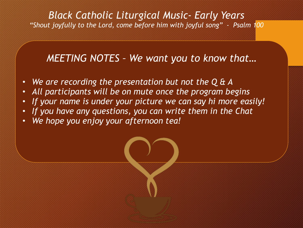#### *MEETING NOTES – We want you to know that…*

- *We are recording the presentation but not the Q & A*
- *All participants will be on mute once the program begins*
- *If your name is under your picture we can say hi more easily!*
- *If you have any questions, you can write them in the Chat*
- *We hope you enjoy your afternoon tea!*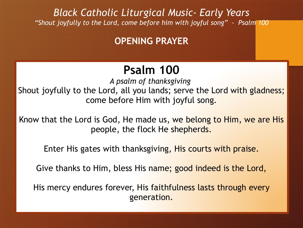### **OPENING PRAYER**

## **Psalm 100**

*A psalm of thanksgiving.*  Shout joyfully to the Lord, all you lands; serve the Lord with gladness; come before Him with joyful song.

Know that the Lord is God, He made us, we belong to Him, we are His people, the flock He shepherds.

Enter His gates with thanksgiving, His courts with praise.

Give thanks to Him, bless His name; good indeed is the Lord,

His mercy endures forever, His faithfulness lasts through every generation.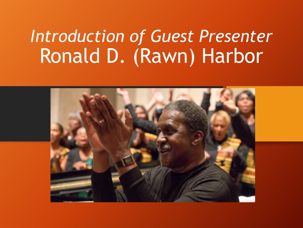# *Introduction of Guest Presenter* Ronald D. (Rawn) Harbor

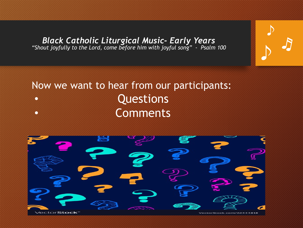♪ ♬

♪

### Now we want to hear from our participants: • Questions • Comments

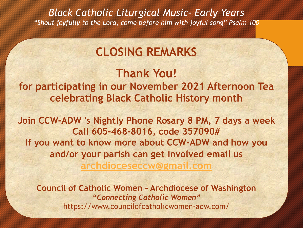### **CLOSING REMARKS**

**Thank You! for participating in our November 2021 Afternoon Tea celebrating Black Catholic History month**

**Join CCW-ADW 's Nightly Phone Rosary 8 PM, 7 days a week Call 605-468-8016, code 357090# If you want to know more about CCW-ADW and how you and/or your parish can get involved email us archdioceseccw@gmail.com**

**Council of Catholic Women – Archdiocese of Washington** *"Connecting Catholic Women"* https://www.councilofcatholicwomen-adw.com/